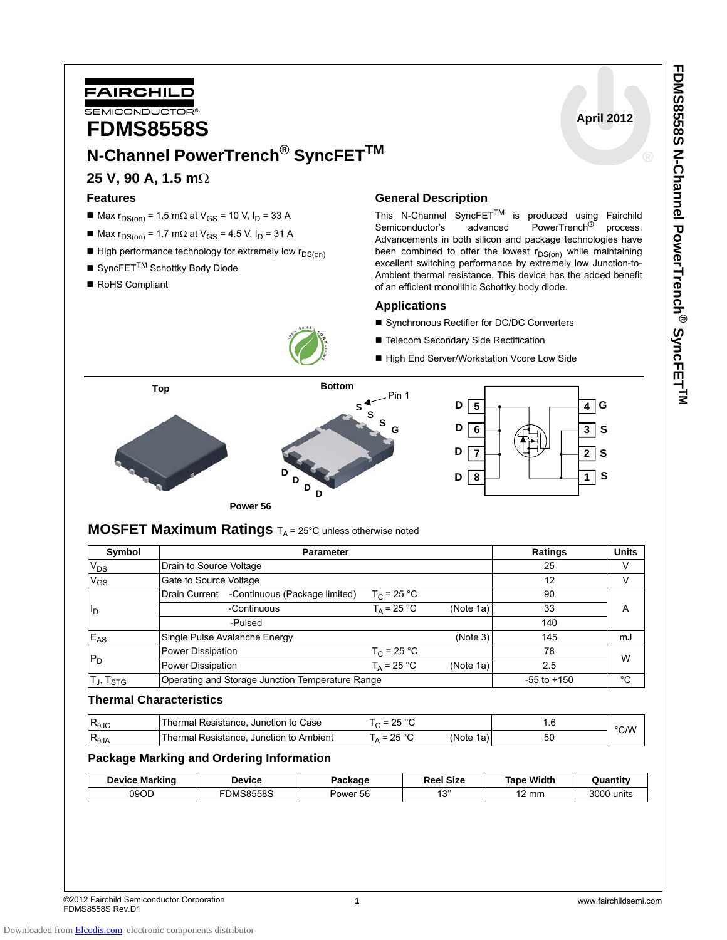**April 2012**

#### **1** www.fairchildsemi.com

°C/W

# **Package Marking and Ordering Information**

| <b>Device Marking</b> | Device    | Package  | <b>Reel Size</b> | Width<br>Tape | Quantitv      |
|-----------------------|-----------|----------|------------------|---------------|---------------|
| 09OD                  | FDMS8558S | Power 56 | $4^{\prime}$     | ı2 mm         | 3000<br>units |
|                       |           |          |                  |               |               |

 $R_{\theta JC}$  Thermal Resistance, Junction to Case T<sub>C</sub> = 25 °C 1.6

 $R_{\theta,IA}$  Thermal Resistance, Junction to Ambient  $T_A = 25 \degree C$  (Note 1a) 50

## **MOSFET Maximum Ratings**  $T_A = 25^\circ C$  unless otherwise noted

| Symbol            | <b>Parameter</b>                                 |                      |                 | <b>Ratings</b> | <b>Units</b> |  |
|-------------------|--------------------------------------------------|----------------------|-----------------|----------------|--------------|--|
| $V_{DS}$          | Drain to Source Voltage                          |                      |                 | 25             | v            |  |
| $V_{GS}$          | Gate to Source Voltage                           |                      |                 | 12             | V            |  |
|                   | -Continuous (Package limited)<br>Drain Current   | $T_C$ = 25 °C        |                 | 90             |              |  |
| l <sub>D</sub>    | -Continuous                                      | $T_{\Delta}$ = 25 °C | (Note 1a)       | 33             | A            |  |
|                   | -Pulsed                                          |                      |                 | 140            |              |  |
| $E_{AS}$          | Single Pulse Avalanche Energy                    |                      | (Note 3)        | 145            | mJ           |  |
|                   | Power Dissipation                                | $T_C = 25 °C$        |                 | 78             | W            |  |
| $P_D$             | Power Dissipation                                | $T_A$ = 25 °C        | (Note 1a)       | 2.5            |              |  |
| $T_J$ , $T_{STG}$ | Operating and Storage Junction Temperature Range |                      | $-55$ to $+150$ | °C             |              |  |



**N-Channel PowerTrench® SyncFETTM**



# **General Description**

This N-Channel SyncFET<sup>TM</sup> is produced using Fairchild Semiconductor's advanced PowerTrench<sup>®</sup> process. Semiconductor's advanced PowerTrench<sup>®</sup> process. Advancements in both silicon and package technologies have been combined to offer the lowest  $r_{DS(0n)}$  while maintaining excellent switching performance by extremely low Junction-to-Ambient thermal resistance. This device has the added benefit of an efficient monolithic Schottky body diode.

#### **Applications**

- Synchronous Rectifier for DC/DC Converters
- Telecom Secondary Side Rectification
- High End Server/Workstation Vcore Low Side



Downloaded from **Elcodis.com** electronic components distributor

**Thermal Characteristics**

**FDMS8558S** 

FAIRCHILD SEMICONDUCTOR

**25 V, 90 A, 1.5 m**Ω

■ SyncFET<sup>TM</sup> Schottky Body Diode

 $M = Max r<sub>DS(on)</sub> = 1.5 mΩ at V<sub>GS</sub> = 10 V, I<sub>D</sub> = 33 A$  $■$  Max r<sub>DS(on)</sub> = 1.7 mΩ at V<sub>GS</sub> = 4.5 V, I<sub>D</sub> = 31 A  $\blacksquare$  High performance technology for extremely low  $r_{DS(on)}$ 

**Features**

RoHS Compliant

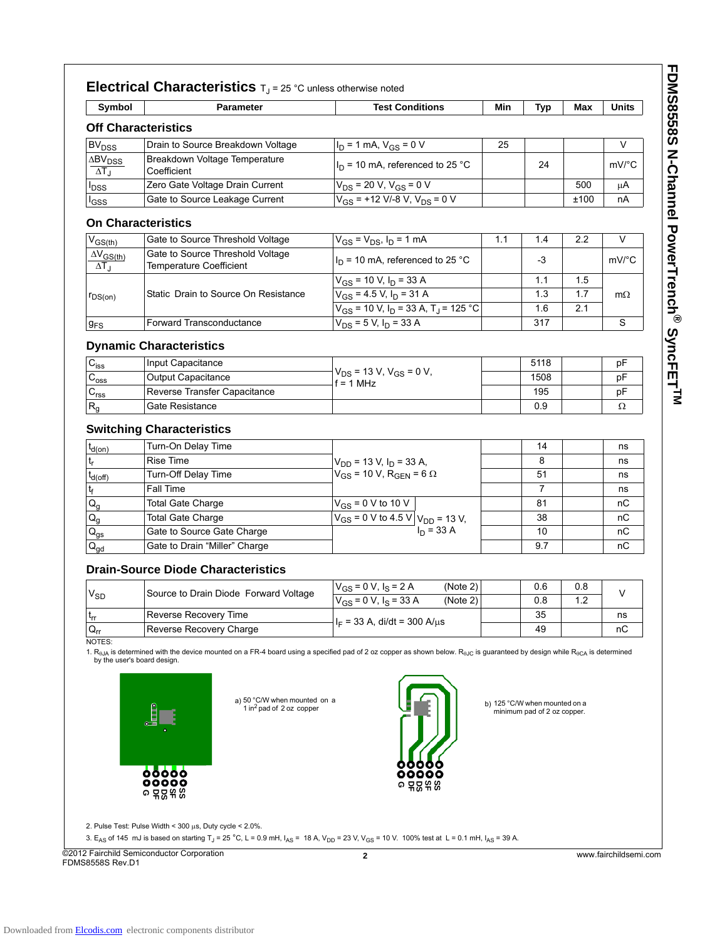| <b>Off Characteristics</b>        | Parameter                                    | <b>Test Conditions</b>                                          | Min | <b>Typ</b> | Max  | Units     |
|-----------------------------------|----------------------------------------------|-----------------------------------------------------------------|-----|------------|------|-----------|
|                                   |                                              |                                                                 |     |            |      |           |
| <b>BV<sub>DSS</sub></b>           | Drain to Source Breakdown Voltage            | $I_D = 1$ mA, $V_{GS} = 0$ V                                    | 25  |            |      | V         |
| $\Delta BV_{DSS}$<br>$\Delta T_J$ | Breakdown Voltage Temperature<br>Coefficient | $I_D$ = 10 mA, referenced to 25 °C                              |     | 24         |      | mV/°C     |
| <b>I</b> DSS                      | Zero Gate Voltage Drain Current              | $V_{DS}$ = 20 V, V <sub>GS</sub> = 0 V                          |     |            | 500  | μA        |
| lgss                              | Gate to Source Leakage Current               | $V_{GS}$ = +12 V/-8 V, V <sub>DS</sub> = 0 V                    |     |            | ±100 | nA        |
| <b>On Characteristics</b>         |                                              |                                                                 |     |            |      |           |
| $V_{GS(th)}$                      | Gate to Source Threshold Voltage             | $V_{GS} = V_{DS}$ , $I_D = 1$ mA                                | 1.1 | 1.4        | 2.2  | V         |
| $\Delta V_{GS(th)}$               | Gate to Source Threshold Voltage             |                                                                 |     |            |      |           |
| $\Delta T_{\rm J}$                | <b>Temperature Coefficient</b>               | $I_D$ = 10 mA, referenced to 25 °C                              |     | -3         |      | mV/°C     |
|                                   |                                              | $V_{GS}$ = 10 V, $I_D$ = 33 A                                   |     | 1.1        | 15   |           |
| $r_{DS(on)}$                      | Static Drain to Source On Resistance         | $V_{GS}$ = 4.5 V, $I_D$ = 31 A                                  |     | 1.3        | 1.7  | $m\Omega$ |
|                                   |                                              | $V_{GS}$ = 10 V, I <sub>D</sub> = 33 A, T <sub>J</sub> = 125 °C |     | 1.6        | 2.1  |           |
| $g_{FS}$                          | <b>Forward Transconductance</b>              | $V_{DS}$ = 5 V, $I_D$ = 33 A                                    |     | 317        |      | S         |
|                                   | <b>Dynamic Characteristics</b>               |                                                                 |     |            |      |           |
| $C_{iss}$                         | Input Capacitance                            |                                                                 |     | 5118       |      | рF        |
| $C_{\text{oss}}$                  | Output Capacitance                           | $V_{DS}$ = 13 V, V <sub>GS</sub> = 0 V,                         |     | 1508       |      | pF        |
| C <sub>rss</sub>                  | Reverse Transfer Capacitance                 | f = 1 MHz                                                       |     | 195        |      | рF        |
| $R_g$                             | Gate Resistance                              |                                                                 |     | 0.9        |      | Ω         |
|                                   | <b>Switching Characteristics</b>             |                                                                 |     |            |      |           |
|                                   |                                              |                                                                 |     |            |      |           |
| $t_{d(on)}$                       | Turn-On Delay Time                           |                                                                 |     | 14         |      | ns        |
| t,                                | <b>Rise Time</b>                             | $V_{DD}$ = 13 V, $I_D$ = 33 A,                                  |     | 8<br>51    |      | ns        |
| $t_{d(Off)}$                      | Turn-Off Delay Time<br>Fall Time             | $V_{GS}$ = 10 V, R <sub>GEN</sub> = 6 $\Omega$                  |     | 7          |      | ns        |
| ţ                                 |                                              |                                                                 |     |            |      | ns        |
| $Q_g$                             | <b>Total Gate Charge</b>                     | $V_{GS}$ = 0 V to 10 V                                          |     | 81         |      | пC        |
| $Q_{q}$                           | <b>Total Gate Charge</b>                     | $V_{GS}$ = 0 V to 4.5 V $V_{DD}$ = 13 V,<br>$I_n = 33 A$        |     | 38         |      | nС        |
| $Q_{\text{gs}}$                   | Gate to Source Gate Charge                   |                                                                 |     | 10         |      | nС        |
| $Q_{gd}$                          | Gate to Drain "Miller" Charge                |                                                                 |     | 9.7        |      | пC        |
|                                   | <b>Drain-Source Diode Characteristics</b>    |                                                                 |     |            |      |           |
| $V_{SD}$                          | Source to Drain Diode Forward Voltage        | $V_{GS} = 0 V, I_S = 2 A$<br>(Note 2)                           |     | 0.6        | 0.8  | V         |
|                                   |                                              | $V_{GS}$ = 0 V, $I_S$ = 33 A<br>(Note 2)                        |     | 0.8        | 1.2  |           |
| τ <sub>rr</sub>                   | Reverse Recovery Time                        | $I_F$ = 33 A, di/dt = 300 A/ $\mu$ s                            |     | 35         |      | ns        |
| $Q_{rr}$<br>NOTES:                | Reverse Recovery Charge                      |                                                                 |     | 49         |      | nС        |

**FDMS8558S N-Channel PowerTrench ®** SyncFET<sup>TM</sup>

2. Pulse Test: Pulse Width < 300 μs, Duty cycle < 2.0%.

3. E<sub>AS</sub> of 145 mJ is based on starting T<sub>J</sub> = 25 °C, L = 0.9 mH,  $I_{AS}$  = 18 A,  $V_{DD}$  = 23 V, V<sub>GS</sub> = 10 V. 100% test at L = 0.1 mH,  $I_{AS}$  = 39 A.

©2012 Fairchild Semiconductor Corporation FDMS8558S Rev.D1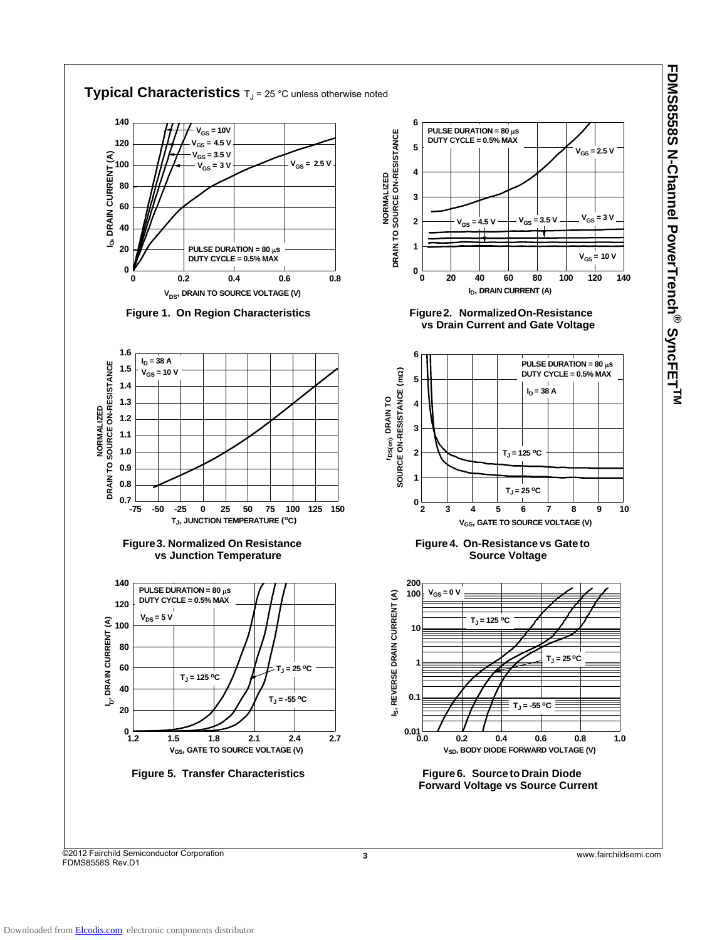

©2012 Fairchild Semiconductor Corporation FDMS8558S Rev.D1

**3** www.fairchildsemi.com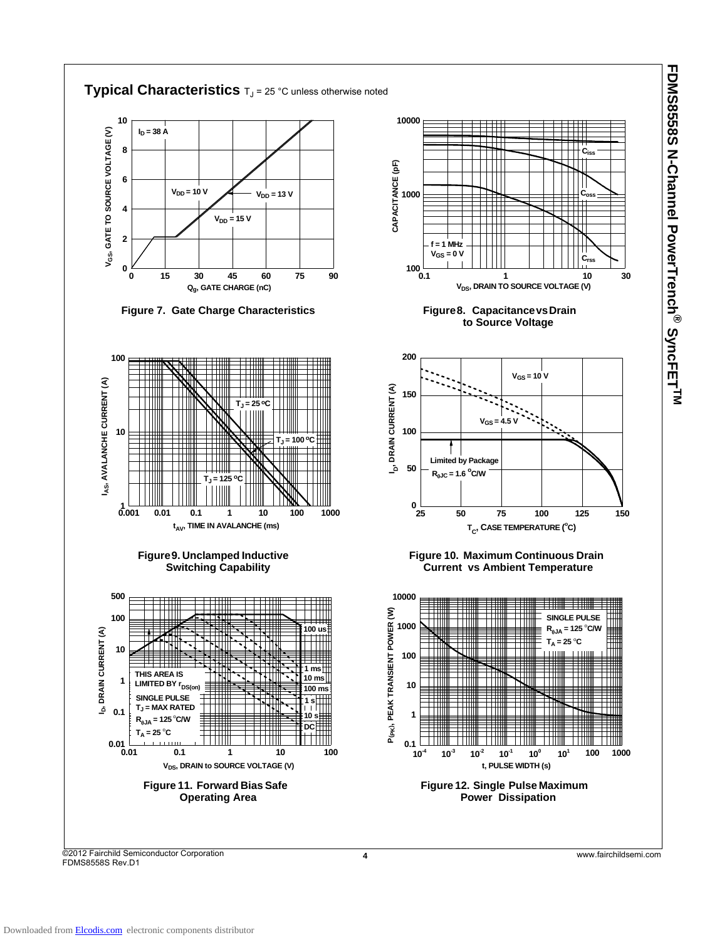

**FDMS8558S N-Channel PowerTrench**

**®**

SyncFET<sup>TM</sup>

©2012 Fairchild Semiconductor Corporation FDMS8558S Rev.D1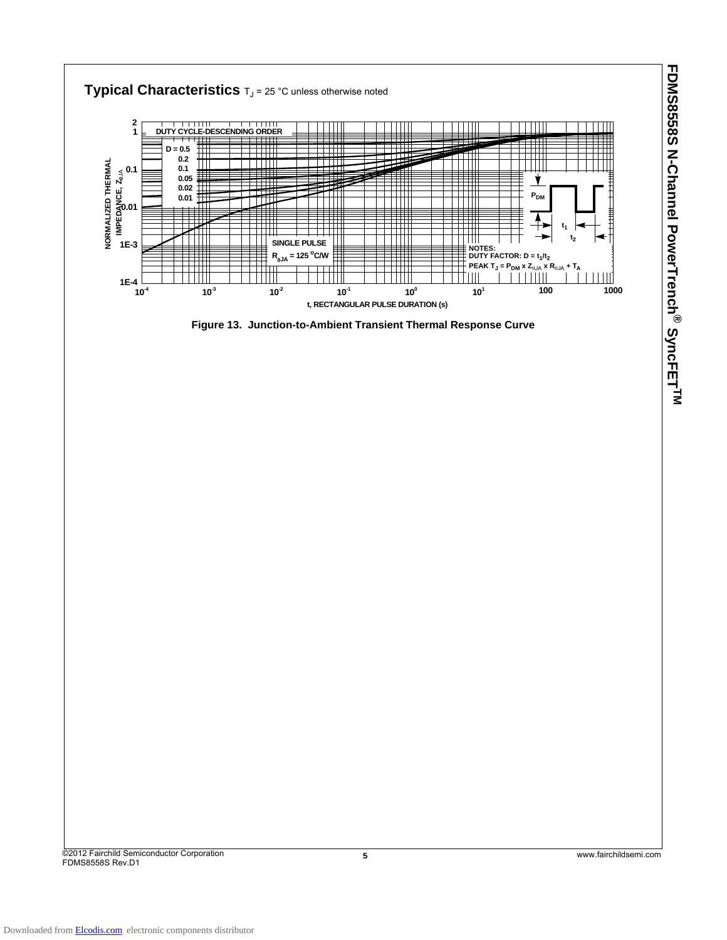

FDMS8558S Rev.D1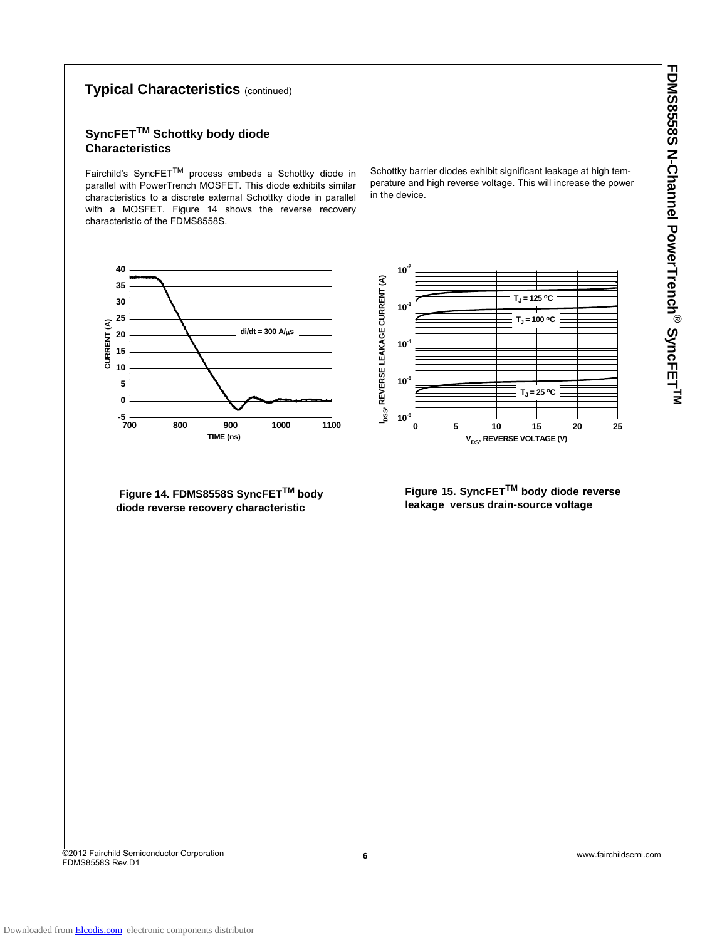# **FDMS8558S N-Channel PowerTrench ®** SyncFET<sup>TM</sup>

#### **Typical Characteristics** (continued)

### **SyncFETTM Schottky body diode Characteristics**

Fairchild's SyncFETTM process embeds a Schottky diode in parallel with PowerTrench MOSFET. This diode exhibits similar characteristics to a discrete external Schottky diode in parallel with a MOSFET. Figure 14 shows the reverse recovery characteristic of the FDMS8558S.

Schottky barrier diodes exhibit significant leakage at high temperature and high reverse voltage. This will increase the power in the device.

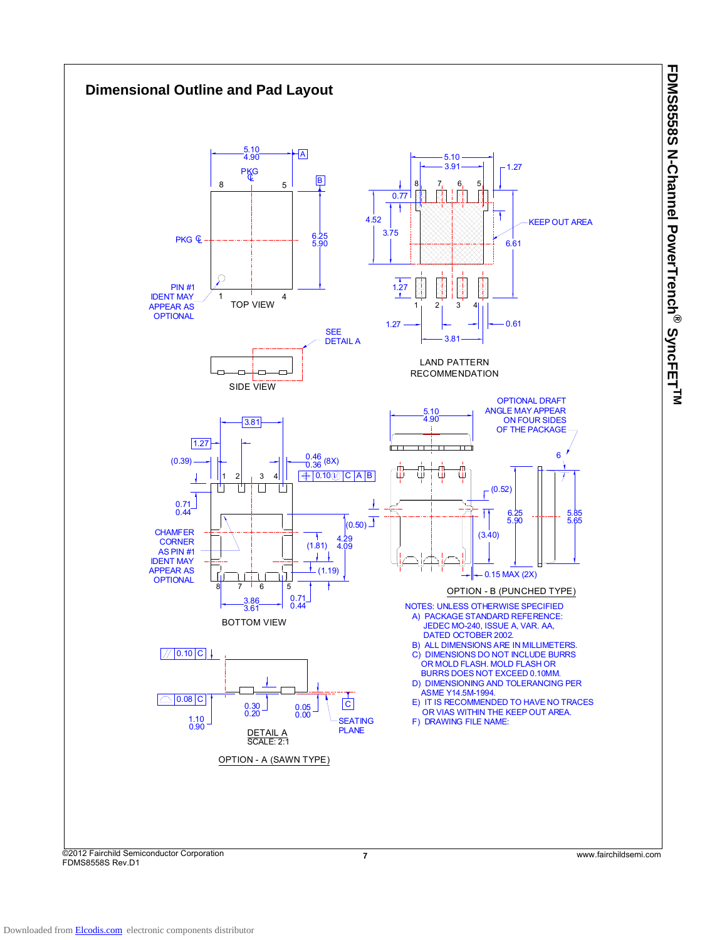

FDMS8558S Rev.D1

**FDMS8558S N-Channel PowerTrench**

**®**

SyncFET<sup>TM</sup>